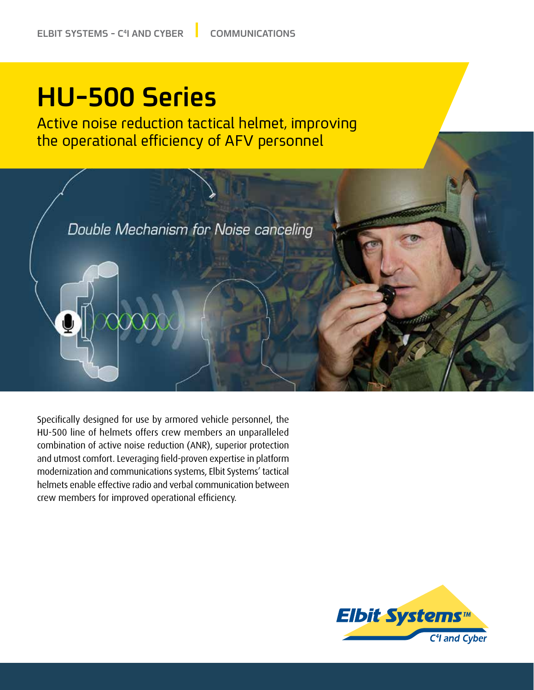## **HU-500 Series**

Active noise reduction tactical helmet, improving the operational efficiency of AFV personnel



Specifically designed for use by armored vehicle personnel, the HU-500 line of helmets offers crew members an unparalleled combination of active noise reduction (ANR), superior protection and utmost comfort. Leveraging field-proven expertise in platform modernization and communications systems, Elbit Systems' tactical helmets enable effective radio and verbal communication between crew members for improved operational efficiency.